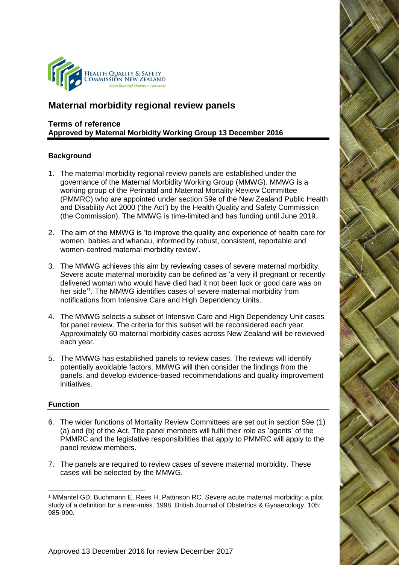

# **Maternal morbidity regional review panels**

# **Terms of reference Approved by Maternal Morbidity Working Group 13 December 2016**

## **Background**

- 1. The maternal morbidity regional review panels are established under the governance of the Maternal Morbidity Working Group (MMWG). MMWG is a working group of the Perinatal and Maternal Mortality Review Committee (PMMRC) who are appointed under section 59e of the New Zealand Public Health and Disability Act 2000 ('the Act') by the Health Quality and Safety Commission (the Commission). The MMWG is time-limited and has funding until June 2019.
- 2. The aim of the MMWG is 'to improve the quality and experience of health care for women, babies and whanau, informed by robust, consistent, reportable and women-centred maternal morbidity review'.
- 3. The MMWG achieves this aim by reviewing cases of severe maternal morbidity. Severe acute maternal morbidity can be defined as 'a very ill pregnant or recently delivered woman who would have died had it not been luck or good care was on her side<sup>'1</sup>. The MMWG identifies cases of severe maternal morbidity from notifications from Intensive Care and High Dependency Units.
- 4. The MMWG selects a subset of Intensive Care and High Dependency Unit cases for panel review. The criteria for this subset will be reconsidered each year. Approximately 60 maternal morbidity cases across New Zealand will be reviewed each year.
- 5. The MMWG has established panels to review cases. The reviews will identify potentially avoidable factors. MMWG will then consider the findings from the panels, and develop evidence-based recommendations and quality improvement initiatives.

#### **Function**

- 6. The wider functions of Mortality Review Committees are set out in section 59e (1) (a) and (b) of the Act. The panel members will fulfil their role as 'agents' of the PMMRC and the legislative responsibilities that apply to PMMRC will apply to the panel review members.
- 7. The panels are required to review cases of severe maternal morbidity. These cases will be selected by the MMWG.

<sup>-</sup><sup>1</sup> MMantel GD, Buchmann E, Rees H, Pattinson RC. Severe acute maternal morbidity: a pilot study of a definition for a near-miss. 1998. British Journal of Obstetrics & Gynaecology. 105: 985-990.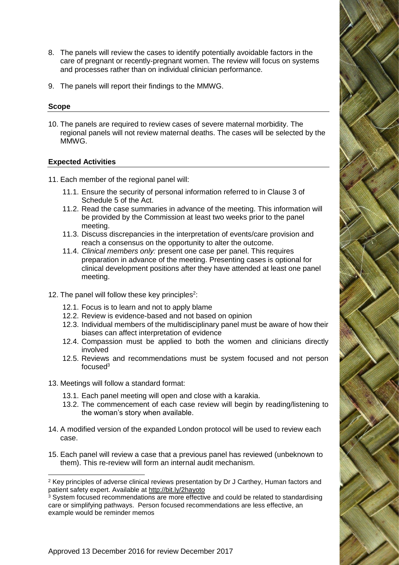- 8. The panels will review the cases to identify potentially avoidable factors in the care of pregnant or recently-pregnant women. The review will focus on systems and processes rather than on individual clinician performance.
- 9. The panels will report their findings to the MMWG.

#### **Scope**

-

10. The panels are required to review cases of severe maternal morbidity. The regional panels will not review maternal deaths. The cases will be selected by the MMWG.

#### **Expected Activities**

- 11. Each member of the regional panel will:
	- 11.1. Ensure the security of personal information referred to in Clause 3 of Schedule 5 of the Act.
	- 11.2. Read the case summaries in advance of the meeting. This information will be provided by the Commission at least two weeks prior to the panel meeting.
	- 11.3. Discuss discrepancies in the interpretation of events/care provision and reach a consensus on the opportunity to alter the outcome.
	- 11.4. *Clinical members only:* present one case per panel. This requires preparation in advance of the meeting. Presenting cases is optional for clinical development positions after they have attended at least one panel meeting.
- 12. The panel will follow these key principles<sup>2</sup>:
	- 12.1. Focus is to learn and not to apply blame
	- 12.2. Review is evidence-based and not based on opinion
	- 12.3. Individual members of the multidisciplinary panel must be aware of how their biases can affect interpretation of evidence
	- 12.4. Compassion must be applied to both the women and clinicians directly involved
	- 12.5. Reviews and recommendations must be system focused and not person focuse $d^3$
- 13. Meetings will follow a standard format:
	- 13.1. Each panel meeting will open and close with a karakia.
	- 13.2. The commencement of each case review will begin by reading/listening to the woman's story when available.
- 14. A modified version of the expanded London protocol will be used to review each case.
- 15. Each panel will review a case that a previous panel has reviewed (unbeknown to them). This re-review will form an internal audit mechanism.

<sup>&</sup>lt;sup>2</sup> Kev principles of adverse clinical reviews presentation by Dr J Carthey, Human factors and patient safety expert. Available at<http://bit.ly/2hayoto>

<sup>&</sup>lt;sup>3</sup> System focused recommendations are more effective and could be related to standardising care or simplifying pathways. Person focused recommendations are less effective, an example would be reminder memos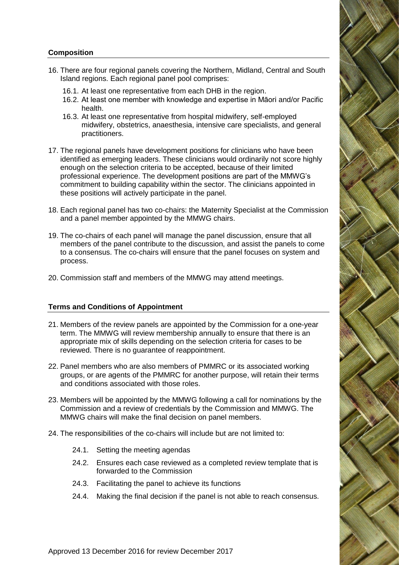# **Composition**

- 16. There are four regional panels covering the Northern, Midland, Central and South Island regions. Each regional panel pool comprises:
	- 16.1. At least one representative from each DHB in the region.
	- 16.2. At least one member with knowledge and expertise in Māori and/or Pacific health.
	- 16.3. At least one representative from hospital midwifery, self-employed midwifery, obstetrics, anaesthesia, intensive care specialists, and general practitioners.
- 17. The regional panels have development positions for clinicians who have been identified as emerging leaders. These clinicians would ordinarily not score highly enough on the selection criteria to be accepted, because of their limited professional experience. The development positions are part of the MMWG's commitment to building capability within the sector. The clinicians appointed in these positions will actively participate in the panel.
- 18. Each regional panel has two co-chairs: the Maternity Specialist at the Commission and a panel member appointed by the MMWG chairs.
- 19. The co-chairs of each panel will manage the panel discussion, ensure that all members of the panel contribute to the discussion, and assist the panels to come to a consensus. The co-chairs will ensure that the panel focuses on system and process.
- 20. Commission staff and members of the MMWG may attend meetings.

## **Terms and Conditions of Appointment**

- 21. Members of the review panels are appointed by the Commission for a one-year term. The MMWG will review membership annually to ensure that there is an appropriate mix of skills depending on the selection criteria for cases to be reviewed. There is no guarantee of reappointment.
- 22. Panel members who are also members of PMMRC or its associated working groups, or are agents of the PMMRC for another purpose, will retain their terms and conditions associated with those roles.
- 23. Members will be appointed by the MMWG following a call for nominations by the Commission and a review of credentials by the Commission and MMWG. The MMWG chairs will make the final decision on panel members.
- 24. The responsibilities of the co-chairs will include but are not limited to:
	- 24.1. Setting the meeting agendas
	- 24.2. Ensures each case reviewed as a completed review template that is forwarded to the Commission
	- 24.3. Facilitating the panel to achieve its functions
	- 24.4. Making the final decision if the panel is not able to reach consensus.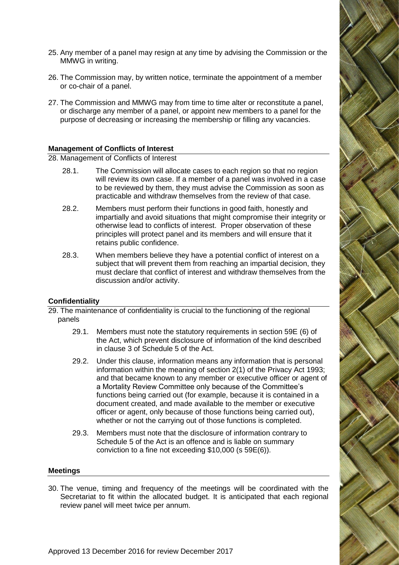- 25. Any member of a panel may resign at any time by advising the Commission or the MMWG in writing.
- 26. The Commission may, by written notice, terminate the appointment of a member or co-chair of a panel.
- 27. The Commission and MMWG may from time to time alter or reconstitute a panel, or discharge any member of a panel, or appoint new members to a panel for the purpose of decreasing or increasing the membership or filling any vacancies.

## **Management of Conflicts of Interest**

28. Management of Conflicts of Interest

- 28.1. The Commission will allocate cases to each region so that no region will review its own case. If a member of a panel was involved in a case to be reviewed by them, they must advise the Commission as soon as practicable and withdraw themselves from the review of that case.
- 28.2. Members must perform their functions in good faith, honestly and impartially and avoid situations that might compromise their integrity or otherwise lead to conflicts of interest. Proper observation of these principles will protect panel and its members and will ensure that it retains public confidence.
- 28.3. When members believe they have a potential conflict of interest on a subject that will prevent them from reaching an impartial decision, they must declare that conflict of interest and withdraw themselves from the discussion and/or activity.

## **Confidentiality**

29. The maintenance of confidentiality is crucial to the functioning of the regional panels

- 29.1. Members must note the statutory requirements in section 59E (6) of the Act, which prevent disclosure of information of the kind described in clause 3 of Schedule 5 of the Act.
- 29.2. Under this clause, information means any information that is personal information within the meaning of section 2(1) of the Privacy Act 1993; and that became known to any member or executive officer or agent of a Mortality Review Committee only because of the Committee's functions being carried out (for example, because it is contained in a document created, and made available to the member or executive officer or agent, only because of those functions being carried out), whether or not the carrying out of those functions is completed.
- 29.3. Members must note that the disclosure of information contrary to Schedule 5 of the Act is an offence and is liable on summary conviction to a fine not exceeding \$10,000 (s 59E(6)).

#### **Meetings**

30. The venue, timing and frequency of the meetings will be coordinated with the Secretariat to fit within the allocated budget. It is anticipated that each regional review panel will meet twice per annum.